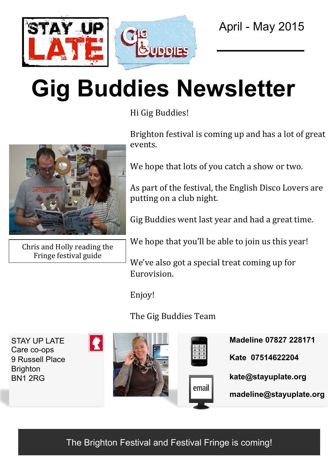

# **Gig Buddies Newsletter**

Hi Gig Buddies!



Chris and Holly reading the Fringe festival guide

Brighton festival is coming up and has a lot of great events. 

We hope that lots of you catch a show or two.

As part of the festival, the English Disco Lovers are putting on a club night.

Gig Buddies went last year and had a great time.

We hope that you'll be able to join us this year!

We've also got a special treat coming up for Eurovision. 

Enjoy! 

The Gig Buddies Team

**Madeline 07827 228171**  STAY UP LATE Care co-ops **Kate 07514622204**  9 Russell Place **Brighton kate@stayuplate.org**  BN1 2RG email **madeline@stayuplate.org** 

The Brighton Festival and Festival Fringe is coming!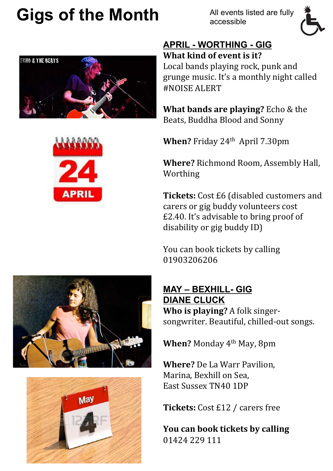### **Gigs of the Month**

All events listed are fully accessible



#### **APRIL - WORTHING - GIG What kind of event is it?**

Local bands playing rock, punk and grunge music. It's a monthly night called #NOISE ALERT 

**What bands are playing?** Echo & the Beats, Buddha Blood and Sonny

**When?** Friday 24<sup>th</sup> April 7.30pm

**Where?** Richmond Room, Assembly Hall, Worthing 

**Tickets:** Cost £6 (disabled customers and carers or gig buddy volunteers cost  $E2.40$ . It's advisable to bring proof of disability or gig buddy ID)

You can book tickets by calling 01903206206 

**MAY – BEXHILL- GIG DIANE CLUCK Who is playing?** A folk singersongwriter. Beautiful, chilled-out songs.

**When?** Monday 4<sup>th</sup> May, 8pm

**Where?** De La Warr Pavilion. Marina, Bexhill on Sea. East Sussex TN40 1DP

**Tickets:** Cost £12 / carers free

**You can book tickets by calling** 01424 229 111





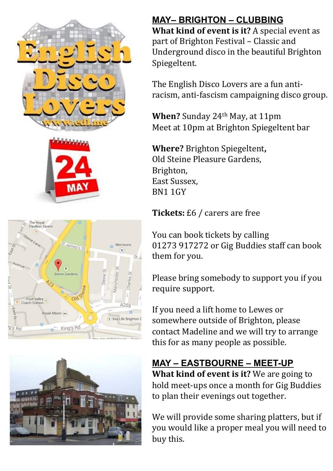





### **MAY– BRIGHTON – CLUBBING**

**What kind of event is it?** A special event as part of Brighton Festival – Classic and Underground disco in the beautiful Brighton Spiegeltent. 

The English Disco Lovers are a fun antiracism, anti-fascism campaigning disco group.

**When?** Sunday 24<sup>th</sup> May, at 11pm Meet at 10pm at Brighton Spiegeltent bar

**Where?** Brighton Spiegeltent, Old Steine Pleasure Gardens, Brighton, East Sussex. BN1 1GY

#### **Tickets:** £6 / carers are free

You can book tickets by calling 01273 917272 or Gig Buddies staff can book them for you.

Please bring somebody to support you if you require support.

If you need a lift home to Lewes or somewhere outside of Brighton, please contact Madeline and we will try to arrange this for as many people as possible.

**MAY – EASTBOURNE – MEET-UP What kind of event is it?** We are going to hold meet-ups once a month for Gig Buddies to plan their evenings out together.

We will provide some sharing platters, but if you would like a proper meal you will need to buy this.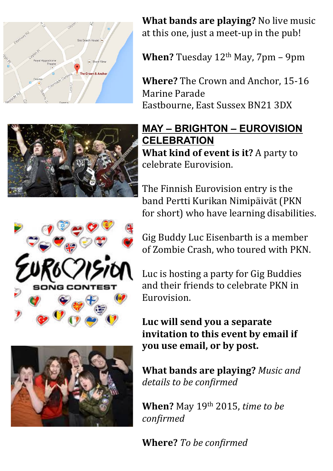





**What bands are playing?** No live music at this one, just a meet-up in the pub!

**When?** Tuesday  $12<sup>th</sup>$  May,  $7<sub>pm</sub> - 9<sub>pm</sub>$ 

**Where?** The Crown and Anchor, 15-16 Marine Parade Eastbourne, East Sussex BN21 3DX

#### **MAY – BRIGHTON – EUROVISION CELEBRATION What kind of event is it?** A party to celebrate Eurovision.

The Finnish Eurovision entry is the band Pertti Kurikan Nimipäivät (PKN for short) who have learning disabilities.

Gig Buddy Luc Eisenbarth is a member of Zombie Crash, who toured with PKN.

Luc is hosting a party for Gig Buddies and their friends to celebrate PKN in Eurovision. 

Luc will send you a separate **invitation to this event by email if you use email, or by post.** 

**What bands are playing?** Music and details to be confirmed

**When?** May 19<sup>th</sup> 2015, *time to be confirmed* 

**Where?** To be confirmed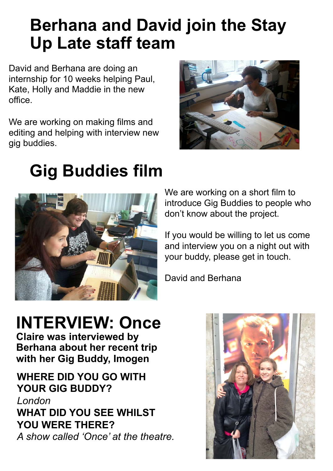### **Berhana and David join the Stay Up Late staff team**

David and Berhana are doing an internship for 10 weeks helping Paul, Kate, Holly and Maddie in the new office.

We are working on making films and editing and helping with interview new gig buddies.



# **Gig Buddies film**



We are working on a short film to introduce Gig Buddies to people who don't know about the project.

If you would be willing to let us come and interview you on a night out with your buddy, please get in touch.

David and Berhana

### **INTERVIEW: Once**

**Claire was interviewed by Berhana about her recent trip with her Gig Buddy, Imogen** 

**WHERE DID YOU GO WITH YOUR GIG BUDDY?**  *London* **WHAT DID YOU SEE WHILST YOU WERE THERE?**  *A show called 'Once' at the theatre.*

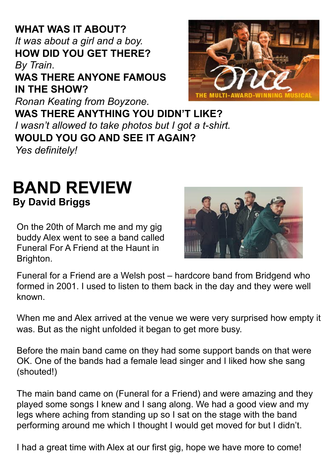*It was about a girl and a boy.*  **HOW DID YOU GET THERE? WAS THERE ANYONE FAMOUS IN THE SHOW?**  *Ronan Keating from Boyzone.* **WAS THERE ANYTHING YOU DIDN'T LIKE?**  *I wasn't allowed to take photos but I got a t-shirt.* **WOULD YOU GO AND SEE IT AGAIN?**  *Yes definitely!*

### **BAND REVIEW By David Briggs**

On the 20th of March me and my gig

Funeral for a Friend are a Welsh post – hardcore band from Bridgend who formed in 2001. I used to listen to them back in the day and they were well known.

When me and Alex arrived at the venue we were very surprised how empty it was. But as the night unfolded it began to get more busy.

Before the main band came on they had some support bands on that were OK. One of the bands had a female lead singer and I liked how she sang (shouted!)

The main band came on (Funeral for a Friend) and were amazing and they played some songs I knew and I sang along. We had a good view and my legs where aching from standing up so I sat on the stage with the band performing around me which I thought I would get moved for but I didn't.

I had a great time with Alex at our first gig, hope we have more to come!

buddy Alex went to see a band called Funeral For A Friend at the Haunt in Brighton.





# **WHAT WAS IT ABOUT?**

### *By Train*.